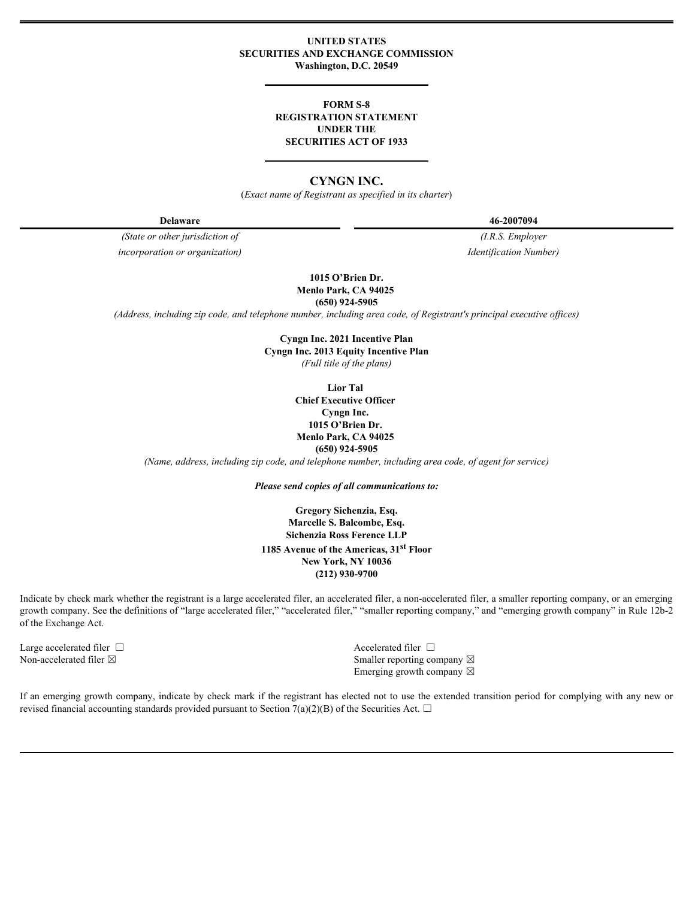# **UNITED STATES SECURITIES AND EXCHANGE COMMISSION Washington, D.C. 20549**

# **FORM S-8 REGISTRATION STATEMENT UNDER THE SECURITIES ACT OF 1933**

# **CYNGN INC.**

(*Exact name of Registrant as specified in its charter*)

**Delaware 46-2007094**

*(State or other jurisdiction of (I.R.S. Employer incorporation or organization) Identification Number)*

**1015 O'Brien Dr. Menlo Park, CA 94025**

**(650) 924-5905**

*(Address, including zip code, and telephone number, including area code, of Registrant's principal executive offices)*

**Cyngn Inc. 2021 Incentive Plan Cyngn Inc. 2013 Equity Incentive Plan** *(Full title of the plans)*

> **Lior Tal Chief Executive Officer Cyngn Inc. 1015 O'Brien Dr. Menlo Park, CA 94025 (650) 924-5905**

*(Name, address, including zip code, and telephone number, including area code, of agent for service)*

*Please send copies of all communications to:*

**Gregory Sichenzia, Esq. Marcelle S. Balcombe, Esq. Sichenzia Ross Ference LLP 1185 Avenue of the Americas, 31st Floor New York, NY 10036 (212) 930-9700**

Indicate by check mark whether the registrant is a large accelerated filer, an accelerated filer, a non-accelerated filer, a smaller reporting company, or an emerging growth company. See the definitions of "large accelerated filer," "accelerated filer," "smaller reporting company," and "emerging growth company" in Rule 12b-2 of the Exchange Act.

Large accelerated filer □ and the set of the set of the set of the set of the set of the set of the set of the set of the set of the set of the set of the set of the set of the set of the set of the set of the set of the

Non-accelerated filer  $\boxtimes$  Smaller reporting company  $\boxtimes$ Emerging growth company  $\boxtimes$ 

If an emerging growth company, indicate by check mark if the registrant has elected not to use the extended transition period for complying with any new or revised financial accounting standards provided pursuant to Section 7(a)(2)(B) of the Securities Act.  $\Box$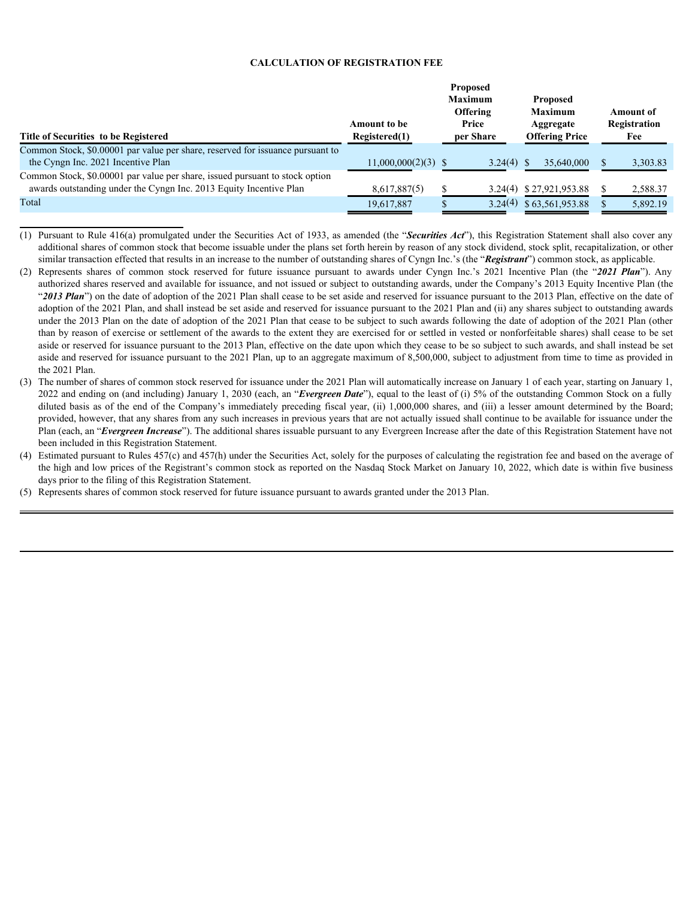### **CALCULATION OF REGISTRATION FEE**

- authorized shares reserved and available for issuance, and not issued or subject to outstanding awards, under the Company's 2013 Equity Incentive plan (the "2013 Plan") on the date of adoption of the 2021 Plan shall cease to be set aside and reserved for issuance pursuant to the 2013 Plan, effective on the date of adoption of the 2021 plan, and shall instead be set aside and reserved for issuance pursuant to the 2021 plan and (ii) any shares subject to outstanding awards under the 2013 plan on the date of adoption of the 2021 plan that cease to be subject to such awards following the date of adoption of the 2021 plan (other than by reason of exercise or settlement of the awards to the extent they are exercised for or settled in vested or nonforfeitable shares) shall cease to be set aside or reserved for issuance pursuant to the 2013 plan, effective on the date upon which they cease to be so subject to such awards, and shall instead be set aside and reserved for issuance pursuant to the 2021 Plan, up to an aggregate maximum of 8,500,000, subject to adjustment from time to time as provided in the 2021 plan.
- (3) The number of shares of common stock reserved for issuance under the 2021 plan will automatically increase on January 1 of each year, starting on January 1, 2022 and ending on (and including) January 1, 2030 (each, an "*Evergreen Date*"), equal to the least of (i) 5% of the outstanding Common Stock on a fully diluted basis as of the end of the Company's immediately preceding fiscal year, (ii) 1,000,000 shares, and (iii) a lesser amount determined by the Board; provided, however, that any shares from any such increases in previous years that are not actually issued shall continue to be available for issuance under the Plan (each, an "*Evergreen Increase*"). The additional shares issuable pursuant to any Evergreen Increase after the date of this Registration Statement have not been included in this Registration Statement.
- (4) Estimated pursuant to Rules 457(c) and 457(h) under the Securities Act, solely for the purposes of calculating the registration fee and based on the average of the high and low prices of the Registrant's common stock as reported on the Nasdaq Stock Market on January 10, 2022, which date is within five business days prior to the filing of this Registration Statement.
- (5) Represents shares of common stock reserved for future issuance pursuant to awards granted under the 2013 plan.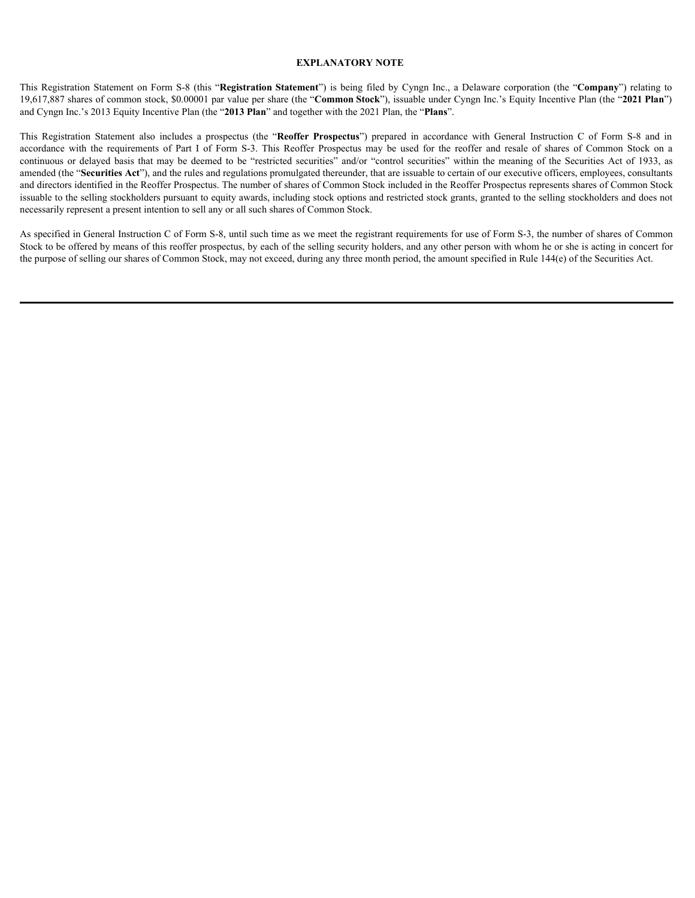# **EXPLANATORY NOTE**

19,617,887 shares of common stock, \$0.00001 par value per share (the "**Common Stock**"), issuable under Cyngn Inc.'s Equity Incentive plan (the "**2021 Plan**") and Cyngn Inc.'s 2013 Equity Incentive plan (the "**2013 Plan**" and together with the 2021 plan, the "**Plans**".

**EXPLANATORY NOTE**<br>
This Registration Statement on Form S-8 (this "**Registration Statement**") is being filed by Cyngn Inc., a Delaware corporation (the "**Company**") relating to<br>
19,617,887 shares of common stock, \$0.00001 **EXPLANATORY NOTE**<br>This Registration Statement on Form S-8 (this "Registration Statement") is being filed by Cypgn Inc., a Delaware corporation (the "Company") relating to<br>19.617,887 shares of common stock, \$0.00001 par va **EXPLANATORY NOTE**<br> **EXPLANATORY NOTE**<br>
19,617,887 shares of common stock, S0.00001 par value per share (the "Common Stock"), issualbe under Cyang Inc., a Delaware corporation (the "**Company**") relating to<br>
19,617,887 shar **EXPLANATORY NOTE**<br>
This Registration Statement on Form S-S (this "Registration Statement") is being filed by Cygn Inc., a Delaware corporation (the "Company") relating to<br>
19,617,887 shares of common stock, S0,00001 par v amended (the "**Securities Act**"), and the rules and regulations promulgated thereunder, that are issuable to certain of our executive officers, employees, consultants and directors identified in the Reoffer prospectus. The number of shares of Common Stock included in the Reoffer prospectus represents shares of Common Stock issuable to the selling stockholders pursuant to equity awards, including stock options and restricted stock grants, granted to the selling stockholders and does not necessarily represent a present intention to sell any or all such shares of Common Stock.

As specified in General Instruction C of Form S-8, until such time as we meet the registrant requirements for use of Form S-3, the number of shares of Common Stock to be offered by means of this reoffer prospectus, by each of the selling security holders, and any other person with whom he or she is acting in concert for the purpose of selling our shares of Common Stock, may not exceed, during any three month period, the amount specified in Rule 144(e) of the Securities Act.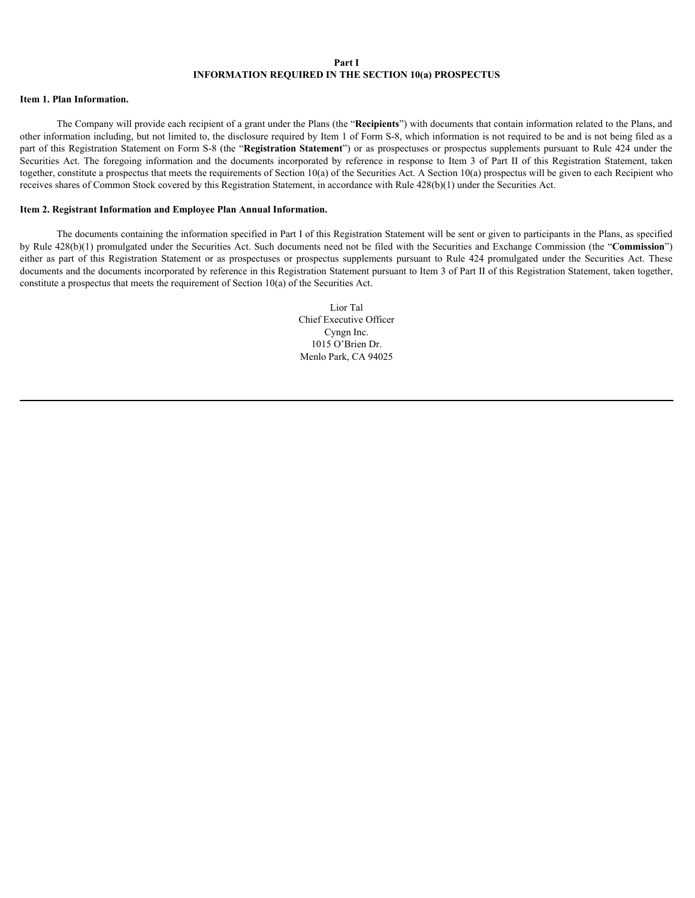#### **Part I INFORMATION REQUIRED IN THE SECTION 10(a) PROSPECTUS**

# **Item 1. Plan Information.**

The Company will provide each recipient of a grant under the plans (the "**Recipients**") with documents that contain information related to the plans, and other information including, but not limited to, the disclosure required by Item 1 of Form S-8, which information is not required to be and is not being filed as a part of this Registration Statement on Form S-8 (the "**Registration Statement**") or as prospectuses or prospectus supplements pursuant to Rule 424 under the Securities Act. The foregoing information and the documents incorporated by reference in response to Item 3 of part II of this Registration Statement, taken together, constitute a prospectus that meets the requirements of Section 10(a) of the Securities Act. A Section 10(a) prospectus will be given to each Recipient who receives shares of Common Stock covered by this Registration Statement, in accordance with Rule 428(b)(1) under the Securities Act. **EFORMATION REQUIRED IN THE SECTION 10(a) PROSPECTUS**<br>
The Company will provide each receipter of a grant under the Plans (the "Recipitents") with decuments that contain information related to the Plans, and<br>
purt of info

#### **Item 2. Registrant Information and Employee Plan Annual Information.**

The documents containing the information specified in part I of this Registration Statement will be sent or given to participants in the plans, as specified by Rule 428(b)(1) promulgated under the Securities Act. Such documents need not be filed with the Securities and Exchange Commission (the "**Commission**") documents and the documents incorporated by reference in this Registration Statement pursuant to Item 3 of part II of this Registration Statement, taken together, constitute a prospectus that meets the requirement of Section 10(a) of the Securities Act.

> Lior Tal Chief Executive Officer Cyngn Inc. 1015 O'Brien Dr. Menlo park, CA 94025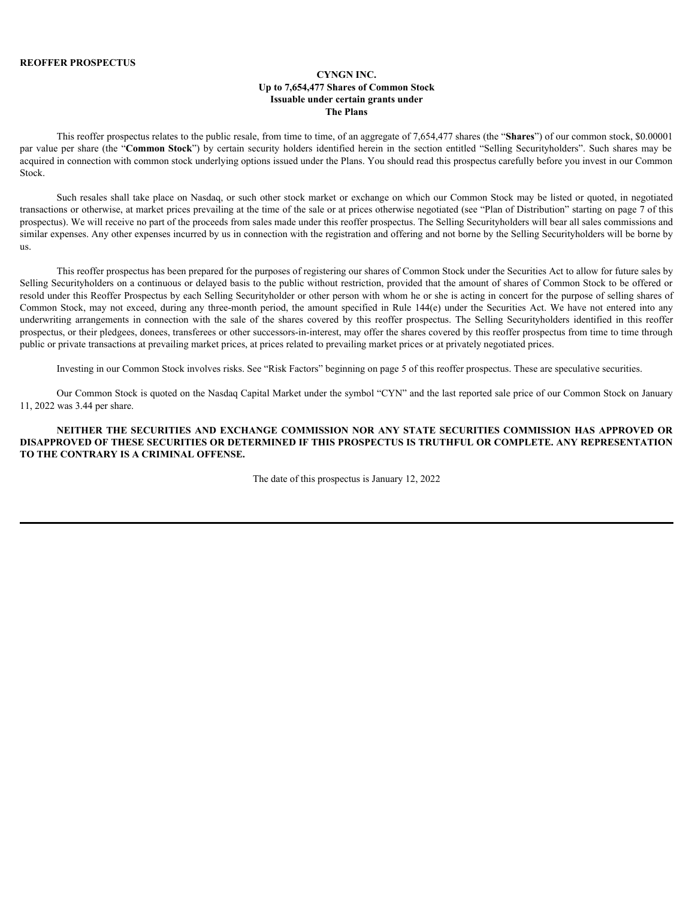# **CYNGN INC. Up to 7,654,477 Shares of Common Stock Issuable under certain grants under The Plans**

This reoffer prospectus relates to the public resale, from time to time, of an aggregate of 7,654,477 shares (the "**Shares**") of our common stock, \$0.00001 acquired in connection with common stock underlying options issued under the plans. You should read this prospectus carefully before you invest in our Common Stock.

**EXERUM SET VALUE PROSPECTUS**<br>
Up to 7,654,477 Shares of Common Stock<br>
This reoffer prospectus relates to the public resale, from time to time, of an aggregate of 7,654,477 shares (the "Shares") of our common stock, \$0,000 Such resales shall take place on Nasdaq, or such other stock market or exchange on which our Common Stock may be listed or quoted, in negotiated transactions or otherwise, at market prices prevailing at the time of the sale or at prices otherwise negotiated (see "plan of Distribution" starting on page 7 of this prospectus). We will receive no part of the proceeds from sales made under this reoffer prospectus. The Selling Securityholders will bear all sales commissions and similar expenses. Any other expenses incurred by us in connection with the registration and offering and not borne by the Selling Securityholders will be borne by us.

This reoffer prospectus has been prepared for the purposes of registering our shares of Common Stock under the Securities Act to allow for future sales by Selling Securityholders on a continuous or delayed basis to the public without restriction, provided that the amount of shares of Common Stock to be offered or resold under this Reoffer prospectus by each Selling Securityholder or other person with whom he or she is acting in concert for the purpose of selling shares of Common Stock, may not exceed, during any three-month period, the amount specified in Rule 144(e) under the Securities Act. We have not entered into any **EXECT PER PROSPECT US**<br>
Up to 7.64477 bares of Common Stock<br>
In the sale of common Stock<br>
In the sale of common Stock<br>
In the sale of the share of the section carrier profession and<br>
provides in the reduced of 1.654.477 prospectus, or their pledgees, donees, transferees or other successors-in-interest, may offer the shares covered by this reoffer prospectus from time to time through public or private transactions at prevailing market prices, at prices related to prevailing market prices or at privately negotiated prices. **IS REGISTER TO SECURITY SUBMALITY CONTROL**<br> **NET THE SECURITIES AND TO THE SECURITIES** ON THE THE SECURITIES OF DETAILS TO THE SECURITIES OF THE SECURITIES OF THE SECURITIES OF THE SECURITIES OF THE SECURITIES OF THE SECU

Investing in our Common Stock involves risks. See "Risk Factors" beginning on page 5 of this reoffer prospectus. These are speculative securities.

Our Common Stock is quoted on the Nasdaq Capital Market under the symbol "CYN" and the last reported sale price of our Common Stock on January 11, 2022 was 3.44 per share.

# **DISAPPROVED OF THESE SECURITIES OR DETERMINED IF THIS PROSPECTUS IS TRUTHFUL OR COMPLETE. ANY REPRESENTATION TO THE CONTRARY IS A CRIMINAL OFFENSE.**

The date of this prospectus is January 12, 2022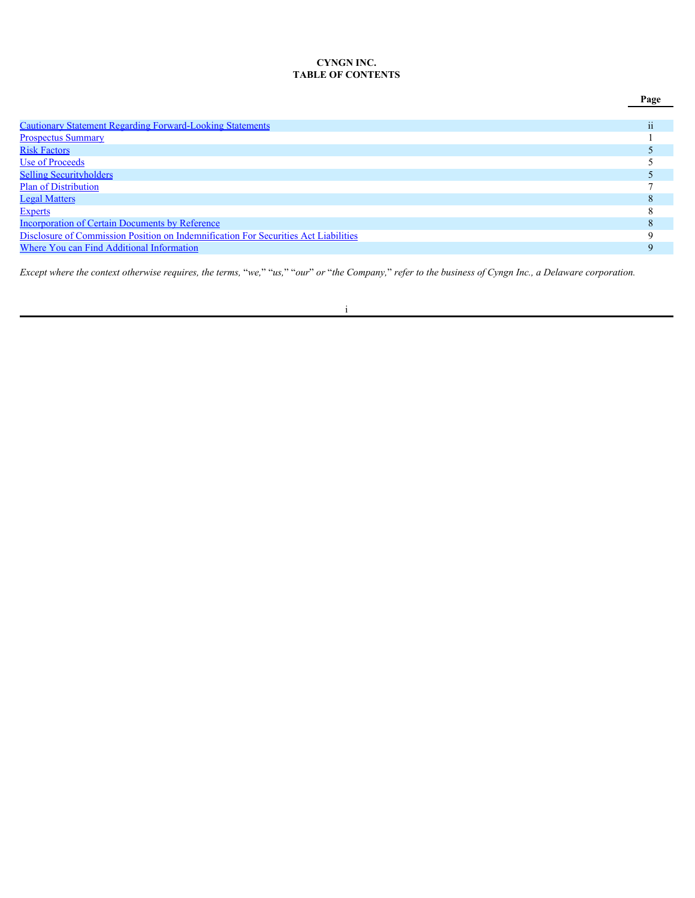# **CYNGN INC. TABLE OF CONTENTS**

|                                                                                     | Page |
|-------------------------------------------------------------------------------------|------|
|                                                                                     |      |
| <b>Cautionary Statement Regarding Forward-Looking Statements</b>                    | 11   |
| <b>Prospectus Summary</b>                                                           |      |
| <b>Risk Factors</b>                                                                 |      |
| Use of Proceeds                                                                     |      |
| <b>Selling Securityholders</b>                                                      |      |
| <b>Plan of Distribution</b>                                                         |      |
| <b>Legal Matters</b>                                                                |      |
| <b>Experts</b>                                                                      |      |
| <b>Incorporation of Certain Documents by Reference</b>                              |      |
| Disclosure of Commission Position on Indemnification For Securities Act Liabilities |      |
| <b>Where You can Find Additional Information</b>                                    | Q    |
|                                                                                     |      |

*Except where the context otherwise requires, the terms,* "*we,*" "*us,*" "*our*" *or* "*the Company,*" *refer to the business of Cyngn Inc., a Delaware corporation.*

i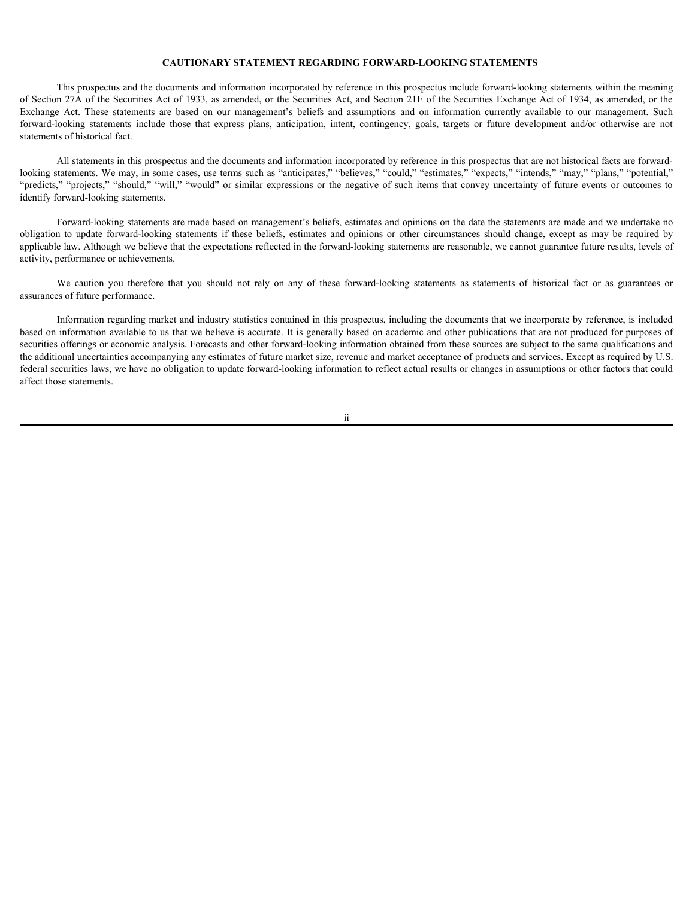### <span id="page-6-0"></span>**CAUTIONARY STATEMENT REGARDING FORWARD-LOOKING STATEMENTS**

This prospectus and the documents and information incorporated by reference in this prospectus include forward-looking statements within the meaning of Section 27A of the Securities Act of 1933, as amended, or the Securities Act, and Section 21E of the Securities Exchange Act of 1934, as amended, or the Exchange Act. These statements are based on our management's belie **CAUTIONARY STATEMENT REGARDING FORWARD-LOOKING STATEMENTS**<br>This prospectus and the documents and information incorporated by reference in this prospectus include forward-looking statements within the meaning<br>of Section 27 **CAUTIONARY STATEMENT REGARDING FORWARD-LOOKING STATEMENTS**<br>This prospectus and the documents and information incorporated by reference in this prospectus include forward-looking statements within the meaning<br>of Sectom 27A statements of historical fact. **CAUTIONARY STATEMENT REGARDING FORWARD-LOOKING STATEMENTS**<br>This prospectus and the documents and information incorporated by reference in this prospectus include forward-looking statements within the meaning<br>
for Scottin **CAUTIONARY STATEMENT REGARDING FORWARD-LOOKING STATEMENTS**<br>
(Is approprediate and one comments and information incorporated by reference in this prospectus includes forward-looking statements within the meaning<br>
Eventuage

All statements in this prospectus and the documents and information incorporated by reference in this prospectus that are not historical facts are forwardlooking statements. We may, in some cases, use terms such as "anticipates," "believes," "could," "estimates," "expects," "intends," "may," "plans," "potential," identify forward-looking statements.

Forward-looking statements are made based on management's beliefs, estimates and opinions on the date the statements are made and we undertake no applicable law. Although we believe that the expectations reflected in the forward-looking statements are reasonable, we cannot guarantee future results, levels of activity, performance or achievements.

assurances of future performance.

**CAUTIONARY STATEMENT REGARDING FORWARD-LOOKING STATEMENTS**<br>This properties and the documents and information incorporated by reference in this prospective include forward-looking statements within the meaning<br>and the Sec Information regarding market and industry statistics contained in this prospectus, including the documents that we incorporate by reference, is included based on information available to us that we believe is accurate. It is generally based on academic and other publications that are not produced for purposes of securities offerings or economic analysis. Forecasts and other forward-looking information obtained from these sources are subject to the same qualifications and the additional uncertainties accompanying any estimates of future market size, revenue and market acceptance of products and services. Except as required by U.S. federal securities laws, we have no obligation to update forward-looking information to reflect actual results or changes in assumptions or other factors that could affect those statements.

ii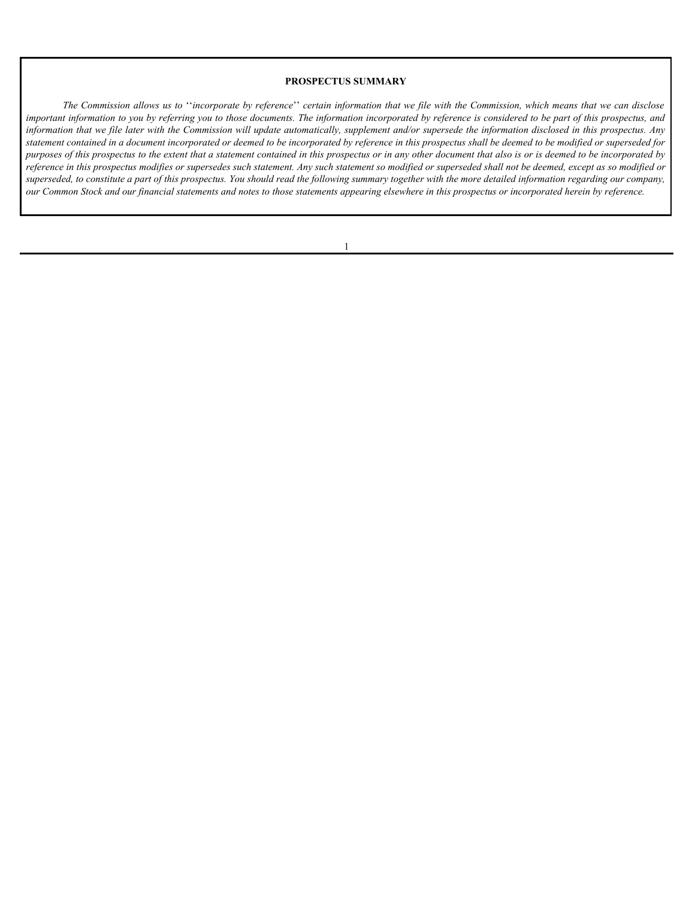#### <span id="page-7-0"></span>**PROSPECTUS SUMMARY**

*The Commission allows us to* ''*incorporate by reference*'' *certain information that we file with the Commission, which means that we can disclose important information to you by referring you to those documents. The information incorporated by reference is considered to be part of this prospectus, and information that we file later with the Commission will update automatically, supplement and/or supersede the information disclosed in this prospectus. Any statement contained in a document incorporated or deemed to be incorporated by reference in this prospectus shall be deemed to be modified or superseded for purposes of this prospectus to the extent that a statement contained in this prospectus or in any other document that also is or is deemed to be incorporated by reference in this prospectus modifies or supersedes such statement. Any such statement so modified or superseded shall not be deemed, except as so modified or superseded, to constitute a part of this prospectus. You should read the following summary together with the more detailed information regarding our company, our Common Stock and our financial statements and notes to those statements appearing elsewhere in this prospectus or incorporated herein by reference.*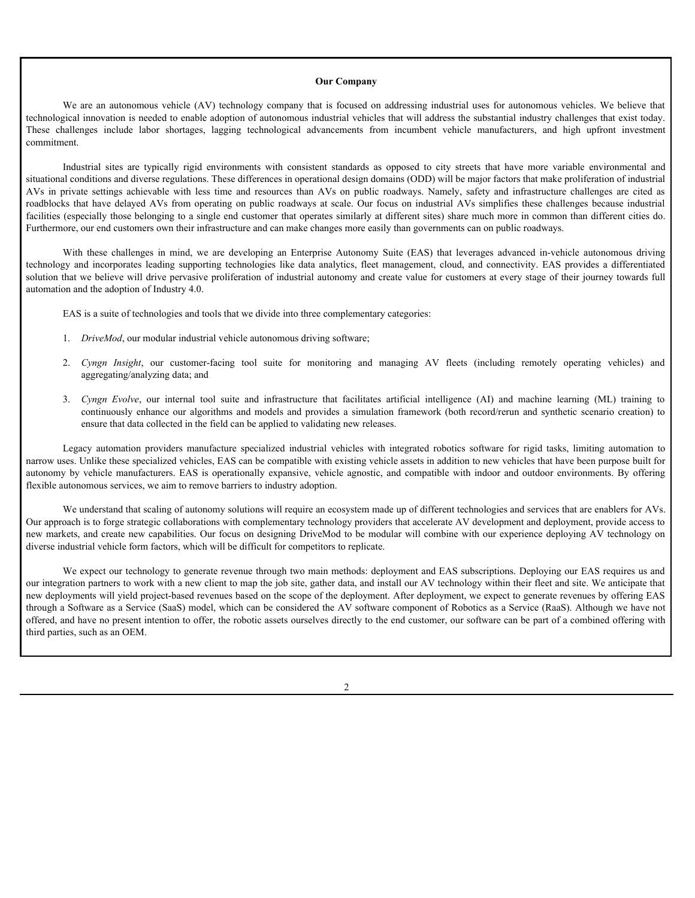#### **Our Company**

**Our Company**<br> **Our Company**<br>
We are an autonomous vehicle (AV) technology company that is focused on addressing industrial uses for autonomous vehicles. We believe that<br>
igial innovation is needed to enable adoption of au technological innovation is needed to enable adoption of autonomous industrial vehicles that will address the substantial industry challenges that exist today. commitment.

**Our Company**<br> **Our Company**<br>
We are an autonomous vehicle (AV) technology company that is focused on addressing industrial uses for autonomous vehicles. We believe that<br>
technological imovation is needed to enable adoptio **Our Company**<br> **Our Company**<br>
We are an autonomous vehicle (AV) technology company that is focused on addressing industrial uses for autonomous vehicles. We believe that<br>
giard innovation is needed to enable adoption of au situational conditions and diverse regulations. These differences in operational design domains (ODD) will be major factors that make proliferation of industrial **Our Company**<br>
We ure an untonomous vehicle (AV) technology company that is focused on addressing industrial uses for untonomous sehicles. We believe that<br>technological imovation is receded to enable adoption of automomous **Our Company**<br>We are an autonomous vehicle (AV) technology company that is focused on addressing industrial tuses for autonomous vehicles. We believe that<br>technological imnovation is needed to enable dooption of autonomous facilities (especially those belonging to a single end customer that operates similarly at different sites) share much more in common than different cities do. Furthermore, our end customers own their infrastructure and can make changes more easily than governments can on public roadways. **Variation Conserver Company**<br>
We are an autonomous vehicle (AV) technology company hat is focused on addressing industrial uses for autonomous vehicles. We believe that  $\text{c}$  the discussion incompany and is focused o **Our Company**<br>
We are an autonomous vehicle (AV) technology company that is fecused on addressing industrial uses for autonomous vehicles. We believe that<br>technological innevarion is needed to enable dedptivo of automomou **Cy** are an autonomous vehicle (AV) technology company that is focused on addressing industrial uses for autonomous vehicles. We believe that<br>pull mnosine is needed to embedde and automomous material vehicles that will ald **Cy** are an autonomous vehicle (AV) technology company that is focused on addressing industrial uses for autonomous vehicles. We believe that a suite could consider the subset of the machine of automous including the subse **Continuously continuously continuously continuously continuously continuously and models are algorithms and models and models and models and models and models and models and models and the simulation of antical velocity c Our Company**<br>
We are an guess one and the entitled (AV) technology company that is forested on addressing industrial uses for auseanonsa vehicles. We believe that the entitled integrals including in alleges induced integ We are an automomous vehicle (NV) underslope company that is forested on delivers includes the relationship is compatible that is the state of the state of the state of the state of the state of the state of the state of

solution that we believe will drive pervasive proliferation of industrial autonomy and create value for customers at every stage of their journey towards full automation and the adoption of Industry 4.0.

EAS is a suite of technologies and tools that we divide into three complementary categories:

- 1. *DriveMod*, our modular industrial vehicle autonomous driving software;
- aggregating/analyzing data; and
- ensure that data collected in the field can be applied to validating new releases.

narrow uses. Unlike these specialized vehicles, EAS can be compatible with existing vehicle assets in addition to new vehicles that have been purpose built for flexible autonomous services, we aim to remove barriers to industry adoption.

We understand that scaling of autonomy solutions will require an ecosystem made up of different technologies and services that are enablers for AVs. Our approach is to forge strategic collaborations with complementary technology providers that accelerate AV development and deployment, provide access to new markets, and create new capabilities. Our focus on designing DriveMod to be modular will combine with our experience deploying AV technology on diverse industrial vehicle form factors, which will be difficult for competitors to replicate.

We expect our technology to generate revenue through two main methods: deployment and EAS subscriptions. Deploying our EAS requires us and our integration partners to work with a new client to map the job site, gather data, and install our AV technology within their fleet and site. We anticipate that new deployments will yield project-based revenues based on the scope of the deployment. After deployment, we expect to generate revenues by offering EAS through a Software as a Service (SaaS) model, which can be considered the AV software component of Robotics as a Service (RaaS). Although we have not offered, and have no present intention to offer, the robotic assets ourselves directly to the end customer, our software can be part of a combined offering with third parties, such as an OEM.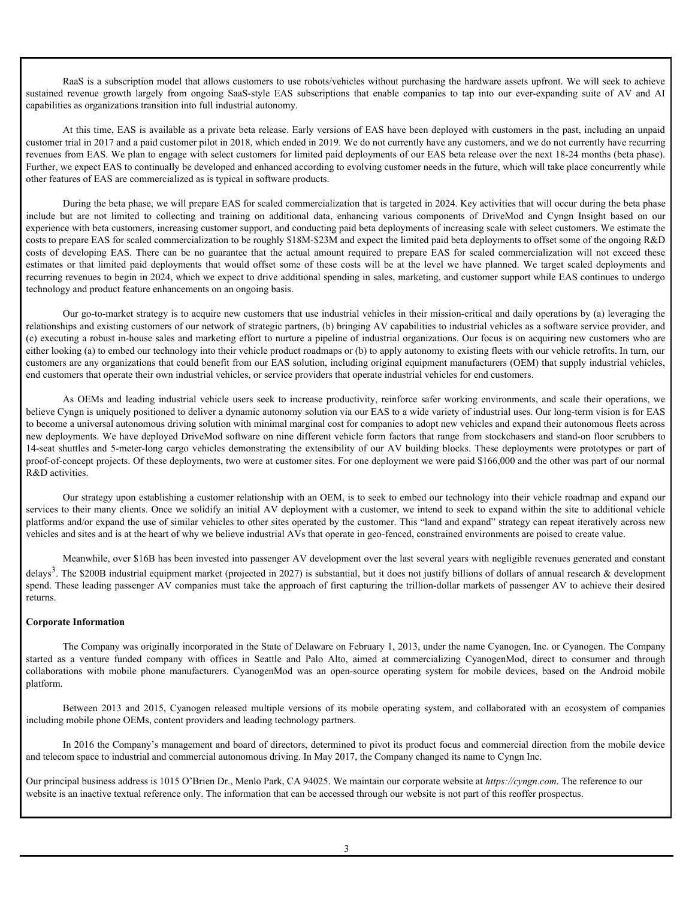RaaS is a subscription model that allows customers to use robots/vehicles without purchasing the hardware assets upfront. We will seek to achieve capabilities as organizations transition into full industrial autonomy.

RaaS is a subscription model that allows customers to use robots/vehicles without purchasing the hardware assets upfront. We will seek to achieve sustained revenue growth largely from ongoing SaaS-style EAS subscriptions t At this time, EAS is available as a private beta release. Early versions of EAS have been deployed with customers in the past, including an unpaid customer trial in 2017 and a paid customer pilot in 2018, which ended in 2019. We do not currently have any customers, and we do not currently have recurring revenues from EAS. We plan to engage with select customers for limited paid deployments of our EAS beta release over the next 18-24 months (beta phase). Further, we expect EAS to continually be developed and enhanced according to evolving customer needs in the future, which will take place concurrently while other features of EAS are commercialized as is typical in software products.

During the beta phase, we will prepare EAS for scaled commercialization that is targeted in 2024. Key activities that will occur during the beta phase **ERENS** is a subscription model that allows customers to use robus/sebicles without purchasing the hurdware assets splinat We will seek to achieve<br>sustained revenue growth targetly from one<br>ong SanS-style EAS subscriptions experience with beta customers, increasing customer support, and conducting paid beta deployments of increasing scale with select customers. We estimate the costs to prepare EAS for scaled commercialization to be roughly \$18M-\$23M and expect the limited paid beta deployments to offset some of the ongoing R&D Kants is a subscription model that allows customers to use robots'vehicles viihout parchasing the hardware assets upforat. We will seek to achieve<br>sustained revenue growth largely from ongoing Sats-style EAS subscriptions RaaS is a subscription model that allows customers to use mbots/vehicles without purchasing the hardware assets upform. We will seek to achieve<br>sustained revenue growth largely from ongoing SaiS-stiyle EAS subscriptions t recurring revenues to begin in 2024, which we expect to drive additional spending in sales, marketing, and customer support while EAS continues to undergo technology and product feature enhancements on an ongoing basis. Read is a mbest<br>jetism model datathers customers to use rebeut-vehicles without purchaing de hardware assets upfor<br>at. We will seek to increase provisions that all mothers. Sure the<br>securities are seeking in Security in t Real is a subscription tool data the outside the studies with the properties and we have a studies to a subscription of the different studies of the method with the control of the control of the control of the studies or o

Our go-to-market strategy is to acquire new customers that use industrial vehicles in their mission-critical and daily operations by (a) leveraging the relationships and existing customers of our network of strategic partners, (b) bringing AV capabilities to industrial vehicles as a software service provider, and (c) executing a robust in-house sales and marketing effort to nurture a pipeline of industrial organizations. Our focus is on acquiring new customers who are either looking (a) to embed our technology into their vehicle product roadmaps or (b) to apply autonomy to existing fleets with our vehicle retrofits. In turn, our customers are any organizations that could benefit from our EAS solution, including original equipment manufacturers (OEM) that supply industrial vehicles, end customers that operate their own industrial vehicles, or service providers that operate industrial vehicles for end customers.

believe Cyngn is uniquely positioned to deliver a dynamic autonomy solution via our EAS to a wide variety of industrial uses. Our long-term vision is for EAS to become a universal autonomous driving solution with minimal marginal cost for companies to adopt new vehicles and expand their autonomous fleets across new deployments. We have deployed DriveMod software on nine different vehicle form factors that range from stockchasers and stand-on floor scrubbers to proof-of-concept projects. Of these deployments, two were at customer sites. For one deployment we were paid \$166,000 and the other was part of our normal R&D activities. stehnology and product feature antanements on an organize basis.<br>The positive company is to acquie to seattle and the interesting of the median of the interesting of the company of the company of the company of the and the Our go-to-marker strategy is to sequire now eurosters that use indexed is volations in electrical and disky operations by correspond the consense of the anset of the anset of handelines as sources and sources are sources and a robot in-both substantial effects in the matter is pleider of industrial operations. Our fores is no acquiring one contents of  $\mu$  is a release of  $\mu$  is a release of  $\mu$  is a release of  $\mu$  is a release of  $\mu$ 

Our strategy upon establishing a customer relationship with an OEM, is to seek to embed our technology into their vehicle roadmap and expand our services to their many clients. Once we solidify an initial AV deployment with a customer, we intend to seek to expand within the site to additional vehicle platforms and/or expand the use of similar vehicles to other sites operated by the customer. This "land and expand" strategy can repeat iteratively across new vehicles and sites and is at the heart of why we believe industrial AVs that operate in geo-fenced, constrained environments are poised to create value.

Meanwhile, over \$16B has been invested into passenger AV development over the last several years with negligible revenues generated and constant delays<sup>3</sup>. The \$200B industrial equipment market (projected in 2027) is substantial, but it does not justify billions of dollars of annual research & development spend. These leading passenger AV companies must take the approach of first capturing the trillion-dollar markets of passenger AV to achieve their desired returns.

# **Corporate Information**

The Company was originally incorporated in the State of Delaware on February 1, 2013, under the name Cyanogen, Inc. or Cyanogen. The Company platform.

including mobile phone OEMs, content providers and leading technology partners.

In 2016 the Company's management and board of directors, determined to pivot its product focus and commercial direction from the mobile device and telecom space to industrial and commercial autonomous driving. In May 2017, the Company changed its name to Cyngn Inc.

Our principal business address is 1015 O'Brien Dr., Menlo park, CA 94025. We maintain our corporate website at *https://cyngn.com*. The reference to our website is an inactive textual reference only. The information that can be accessed through our website is not part of this reoffer prospectus.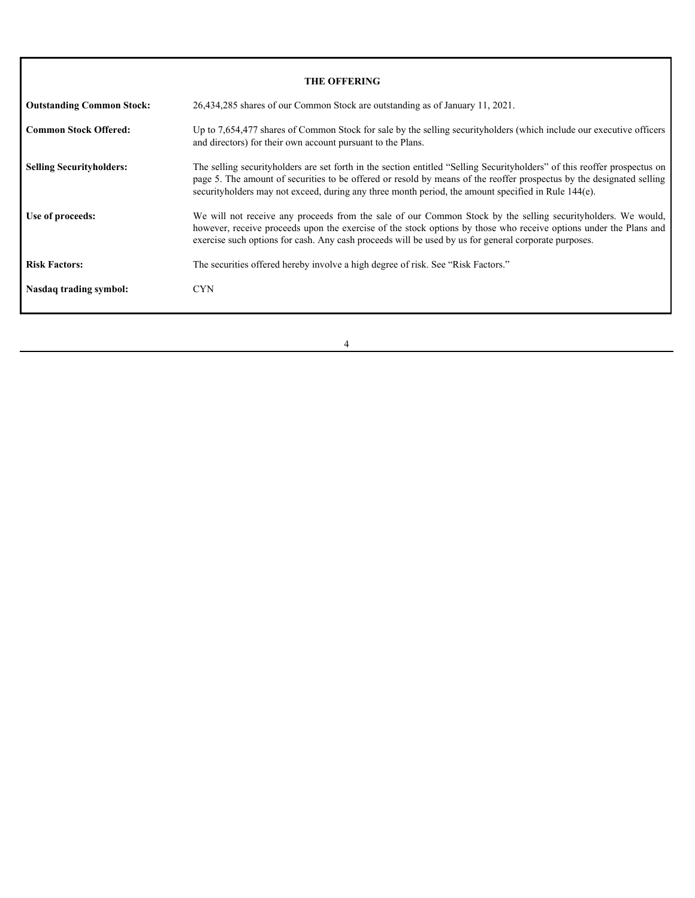|                                  | <b>THE OFFERING</b>                                                                                                                                                                                                                                                                                                                                       |
|----------------------------------|-----------------------------------------------------------------------------------------------------------------------------------------------------------------------------------------------------------------------------------------------------------------------------------------------------------------------------------------------------------|
| <b>Outstanding Common Stock:</b> | 26,434,285 shares of our Common Stock are outstanding as of January 11, 2021.                                                                                                                                                                                                                                                                             |
| <b>Common Stock Offered:</b>     | Up to 7,654,477 shares of Common Stock for sale by the selling securityholders (which include our executive officers<br>and directors) for their own account pursuant to the Plans.                                                                                                                                                                       |
| <b>Selling Securityholders:</b>  | The selling securityholders are set forth in the section entitled "Selling Securityholders" of this reoffer prospectus on<br>page 5. The amount of securities to be offered or resold by means of the reoffer prospectus by the designated selling<br>securityholders may not exceed, during any three month period, the amount specified in Rule 144(e). |
| Use of proceeds:                 | We will not receive any proceeds from the sale of our Common Stock by the selling securityholders. We would,<br>however, receive proceeds upon the exercise of the stock options by those who receive options under the Plans and<br>exercise such options for cash. Any cash proceeds will be used by us for general corporate purposes.                 |
| <b>Risk Factors:</b>             | The securities offered hereby involve a high degree of risk. See "Risk Factors."                                                                                                                                                                                                                                                                          |
|                                  | <b>CYN</b>                                                                                                                                                                                                                                                                                                                                                |
| Nasdaq trading symbol:           |                                                                                                                                                                                                                                                                                                                                                           |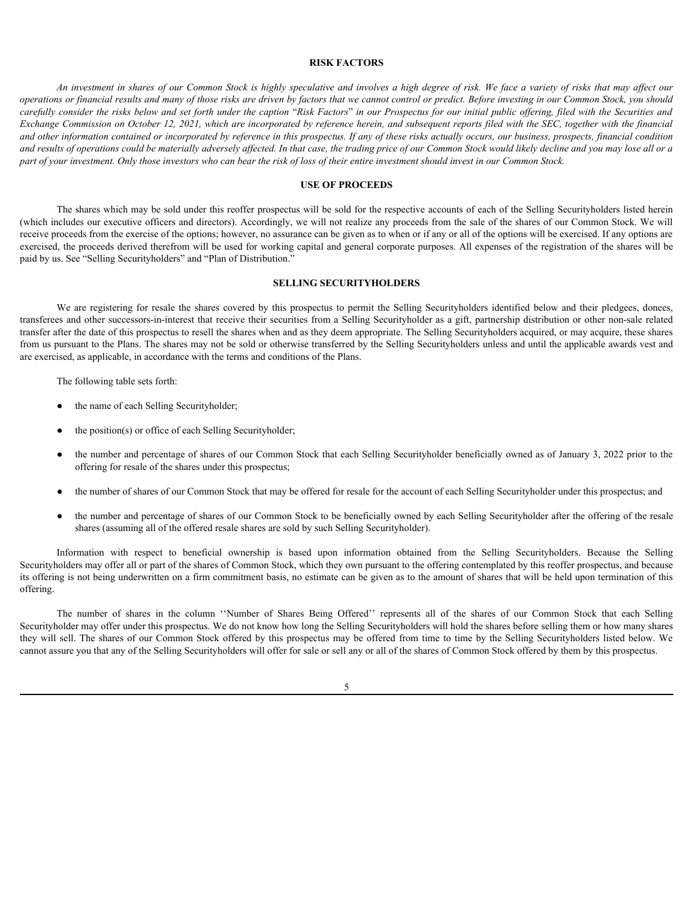# <span id="page-11-0"></span>**RISK FACTORS**

*An investment in shares of our Common Stock is highly speculative and involves a high degree of risk. We face a variety of risks that may affect our operations or financial results and many of those risks are driven by factors that we cannot control or predict. Before investing in our Common Stock, you should carefully consider the risks below and set forth under the caption* "*Risk Factors*" *in our Prospectus for our initial public offering, filed with the Securities and Exchange Commission on October 12, 2021, which are incorporated by reference herein, and subsequent reports filed with the SEC, together with the financial and other information contained or incorporated by reference in this prospectus. If any of these risks actually occurs, our business, prospects, financial condition and results of operations could be materially adversely affected. In that case, the trading price of our Common Stock would likely decline and you may lose all or a part of your investment. Only those investors who can bear the risk of loss of their entire investment should invest in our Common Stock.* **EXERENTIONS**<br> **EXERCIONS**<br>
WE ARRESS FACTORS<br>
We are *trial strength* and many of those ratio are developed podcator and involved a register device a variety of risks that may affect our<br>
consistence of relation and any

# <span id="page-11-1"></span>**USE OF PROCEEDS**

The shares which may be sold under this reoffer prospectus will be sold for the respective accounts of each of the Selling Securityholders listed herein (which includes our executive officers and directors). Accordingly, we will not realize any proceeds from the sale of the shares of our Common Stock. We will receive proceeds from the exercise of the options; however, no assurance can be given as to when or if any or all of the options will be exercised. If any options are exercised, the proceeds derived therefrom will be used for working capital and general corporate purposes. All expenses of the registration of the shares will be paid by us. See "Selling Securityholders" and "plan of Distribution." ITS ODER THE SIMEST THE SIME STONE WAS USED OF PROCEEDS<br>
The share of the streament of the streaments of the contemption with the streament of the respect to contemption of the streament of the contemption of the streamen

#### <span id="page-11-2"></span>**SELLING SECURITYHOLDERS**

transferees and other successors-in-interest that receive their securities from a Selling Securityholder as a gift, partnership distribution or other non-sale related transfer after the date of this prospectus to resell the shares when and as they deem appropriate. The Selling Securityholders acquired, or may acquire, these shares from us pursuant to the plans. The shares may not be sold or otherwise transferred by the Selling Securityholders unless and until the applicable awards vest and are exercised, as applicable, in accordance with the terms and conditions of the plans. The process derived these of our librarial of shares in the column increase that we collumn the shares in the column state of the shares in the shares were column to the shares were column to the shares were column to the

The following table sets forth:

- the name of each Selling Securityholder;
- the position(s) or office of each Selling Securityholder;
- the number and percentage of shares of our Common Stock that each Selling Securityholder beneficially owned as of January 3, 2022 prior to the offering for resale of the shares under this prospectus;
- the number of shares of our Common Stock that may be offered for resale for the account of each Selling Securityholder under this prospectus; and
- the number and percentage of shares of our Common Stock to be beneficially owned by each Selling Securityholder after the offering of the resale shares (assuming all of the offered resale shares are sold by such Selling Securityholder).

Securityholders may offer all or part of the shares of Common Stock, which they own pursuant to the offering contemplated by this reoffer prospectus, and because its offering is not being underwritten on a firm commitment basis, no estimate can be given as to the amount of shares that will be held upon termination of this offering.

Securityholder may offer under this prospectus. We do not know how long the Selling Securityholders will hold the shares before selling them or how many shares they will sell. The shares of our Common Stock offered by this prospectus may be offered from time to time by the Selling Securityholders listed below. We cannot assure you that any of the Selling Securityholders will offer for sale or sell any or all of the shares of Common Stock offered by them by this prospectus.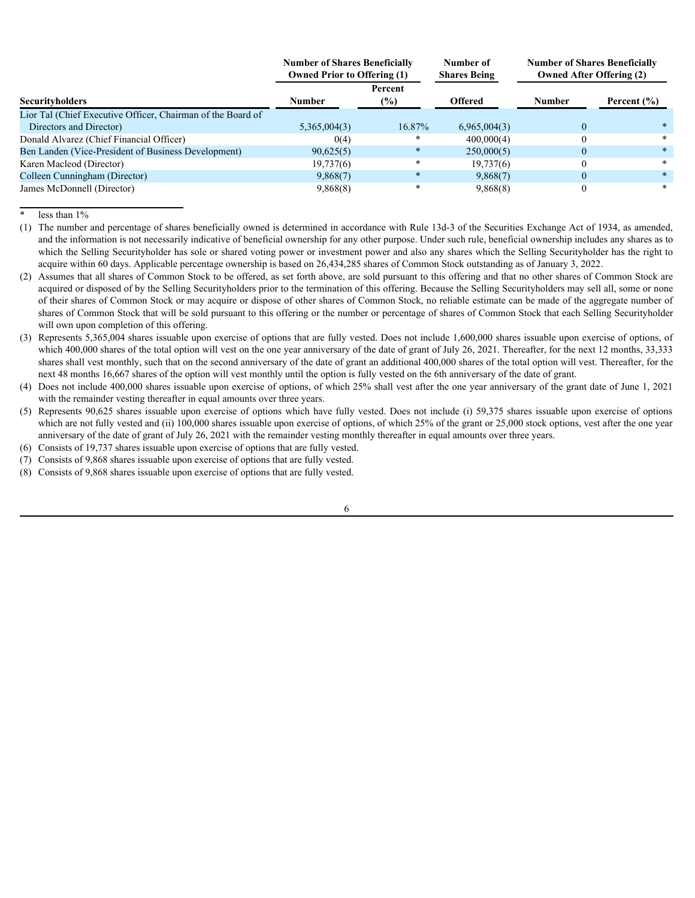|                                                             | <b>Number of Shares Beneficially</b><br><b>Owned Prior to Offering (1)</b> |                | Number of<br><b>Shares Being</b> |               | <b>Number of Shares Beneficially</b><br><b>Owned After Offering (2)</b> |  |
|-------------------------------------------------------------|----------------------------------------------------------------------------|----------------|----------------------------------|---------------|-------------------------------------------------------------------------|--|
| <b>Securityholders</b>                                      | Number                                                                     | Percent<br>(%) | <b>Offered</b>                   | <b>Number</b> | Percent $(\% )$                                                         |  |
| Lior Tal (Chief Executive Officer, Chairman of the Board of |                                                                            |                |                                  |               |                                                                         |  |
| Directors and Director)                                     | 5,365,004(3)                                                               | 16.87%         | 6,965,004(3)                     |               |                                                                         |  |
| Donald Alvarez (Chief Financial Officer)                    | 0(4)                                                                       |                | 400,000(4)                       |               |                                                                         |  |
| Ben Landen (Vice-President of Business Development)         | 90,625(5)                                                                  |                | 250,000(5)                       |               |                                                                         |  |
| Karen Macleod (Director)                                    | 19,737(6)                                                                  |                | 19,737(6)                        |               |                                                                         |  |
| Colleen Cunningham (Director)                               | 9,868(7)                                                                   |                | 9,868(7)                         |               |                                                                         |  |
| James McDonnell (Director)                                  | 9,868(8)                                                                   |                | 9,868(8)                         |               |                                                                         |  |

\* less than 1%

(1) The number and percentage of shares beneficially owned is determined in accordance with Rule 13d-3 of the Securities Exchange Act of 1934, as amended, and the information is not necessarily indicative of beneficial ownership for any other purpose. Under such rule, beneficial ownership includes any shares as to which the Selling Securityholder has sole or shared voting power or investment power and also any shares which the Selling Securityholder has the right to acquire within 60 days. Applicable percentage ownership is based on 26,434,285 shares of Common Stock outstanding as of January 3, 2022.

- (2) Assumes that all shares of Common Stock to be offered, as set forth above, are sold pursuant to this offering and that no other shares of Common Stock are acquired or disposed of by the Selling Securityholders prior to the termination of this offering. Because the Selling Securityholders may sell all, some or none of their shares of Common Stock or may acquire or dispose of other shares of Common Stock, no reliable estimate can be made of the aggregate number of shares of Common Stock that will be sold pursuant to this offering or the number or percentage of shares of Common Stock that each Selling Securityholder will own upon completion of this offering.
- (3) Represents 5,365,004 shares issuable upon exercise of options that are fully vested. Does not include 1,600,000 shares issuable upon exercise of options, of which 400,000 shares of the total option will vest on the one year anniversary of the date of grant of July 26, 2021. Thereafter, for the next 12 months, 33,333 shares shall vest monthly, such that on the second anniversary of the date of grant an additional 400,000 shares of the total option will vest. Thereafter, for the next 48 months 16,667 shares of the option will vest monthly until the option is fully vested on the 6th anniversary of the date of grant.
- (4) Does not include 400,000 shares issuable upon exercise of options, of which 25% shall vest after the one year anniversary of the grant date of June 1, 2021 with the remainder vesting thereafter in equal amounts over three years.
- (5) Represents 90,625 shares issuable upon exercise of options which have fully vested. Does not include (i) 59,375 shares issuable upon exercise of options which are not fully vested and (ii) 100,000 shares issuable upon exercise of options, of which 25% of the grant or 25,000 stock options, vest after the one year anniversary of the date of grant of July 26, 2021 with the remainder vesting monthly thereafter in equal amounts over three years.
- (6) Consists of 19,737 shares issuable upon exercise of options that are fully vested.
- (7) Consists of 9,868 shares issuable upon exercise of options that are fully vested.
- (8) Consists of 9,868 shares issuable upon exercise of options that are fully vested.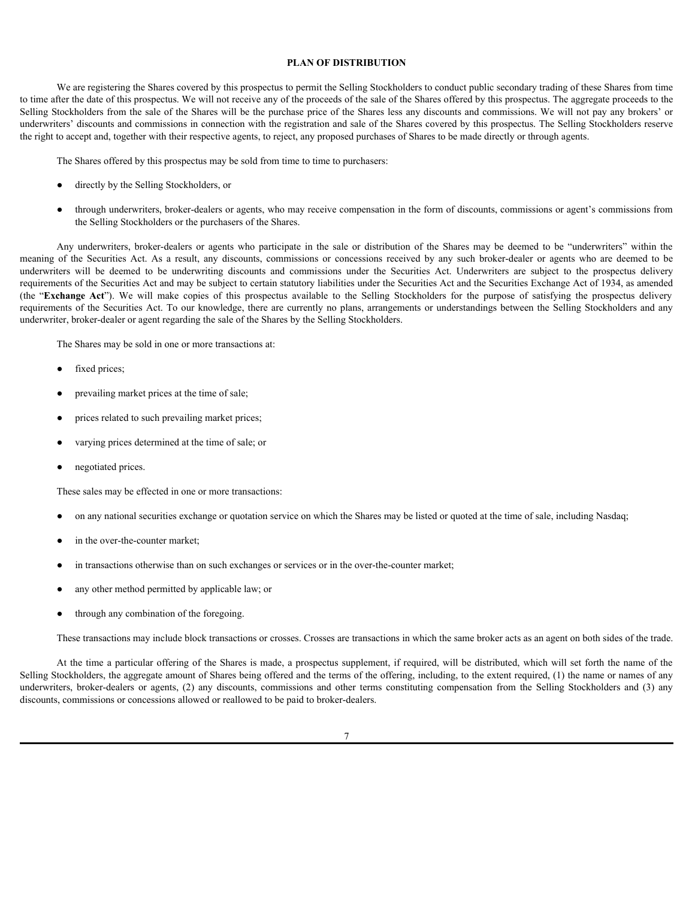#### <span id="page-13-0"></span>**PLAN OF DISTRIBUTION**

We are registering the Shares covered by this prospectus to permit the Selling Stockholders to conduct public secondary trading of these Shares from time to time after the date of this prospectus. We will not receive any of the proceeds of the sale of the Shares offered by this prospectus. The aggregate proceeds to the Selling Stockholders from the sale of the Shares will be the purchase price of the Shares less any discounts and commissions. We will not pay any brokers' or underwriters' discounts and commissions in connection with the registration and sale of the Shares covered by this prospectus. The Selling Stockholders reserve the right to accept and, together with their respective agents, to reject, any proposed purchases of Shares to be made directly or through agents.

The Shares offered by this prospectus may be sold from time to time to purchasers:

- directly by the Selling Stockholders, or
- through underwriters, broker-dealers or agents, who may receive compensation in the form of discounts, commissions or agent's commissions from the Selling Stockholders or the purchasers of the Shares.

**PLAN OF DISTRIBUTION**<br> **PLAN OF DISTRIBUTION**<br>
We are registering the Shares covered by this prospectus to permit the Selling Stockholders to conduct public secondary trading of these Shares from time<br>
the the date of thi **PLAN OF DISTRIBUTION**<br>
We use regulation of this momentum We will not travely such the Security to commission concelerations of the commissions or the concession of the Securities of the Securities any objective the comm **PLAN OF DISTRIBETTON**<br>
We are registering the Shares covered by this prospectus. To evaluate for the Selling Stechholders for conduct public secondary trading of these Shares from time<br>
string Studeholders from the commis requirements of the Securities Act and may be subject to certain statutory liabilities under the Securities Act and the Securities Exchange Act of 1934, as amended **EXA OV DISTRIBUTION**<br>
We are registed in prospectus. We will not necessary permit the Selling Stockholders to enduct public secondary indiag of these Shares from time<br>storing stockholders from the simulation to the prospe requirements of the Securities Act. To our knowledge, there are currently no plans, arrangements or understandings between the Selling Stockholders and any underwriter, broker-dealer or agent regarding the sale of the Shares by the Selling Stockholders.

The Shares may be sold in one or more transactions at:

- fixed prices;
- prevailing market prices at the time of sale;
- prices related to such prevailing market prices;
- varying prices determined at the time of sale; or
- negotiated prices.

These sales may be effected in one or more transactions:

- on any national securities exchange or quotation service on which the Shares may be listed or quoted at the time of sale, including Nasdaq;
- in the over-the-counter market;
- in transactions otherwise than on such exchanges or services or in the over-the-counter market;
- any other method permitted by applicable law; or
- through any combination of the foregoing.

These transactions may include block transactions or crosses. Crosses are transactions in which the same broker acts as an agent on both sides of the trade.

At the time a particular offering of the Shares is made, a prospectus supplement, if required, will be distributed, which will set forth the name of the Selling Stockholders, the aggregate amount of Shares being offered and the terms of the offering, including, to the extent required, (1) the name or names of any underwriter, broker-dealer or agent regarding the sake of the Shares by the Selling Stockholders<br>
• Cock places.<br>
• Prevailing market proces at the time of sake,<br>
• prices related to such prevailing market prices;<br>
• varyi discounts, commissions or concessions allowed or reallowed to be paid to broker-dealers.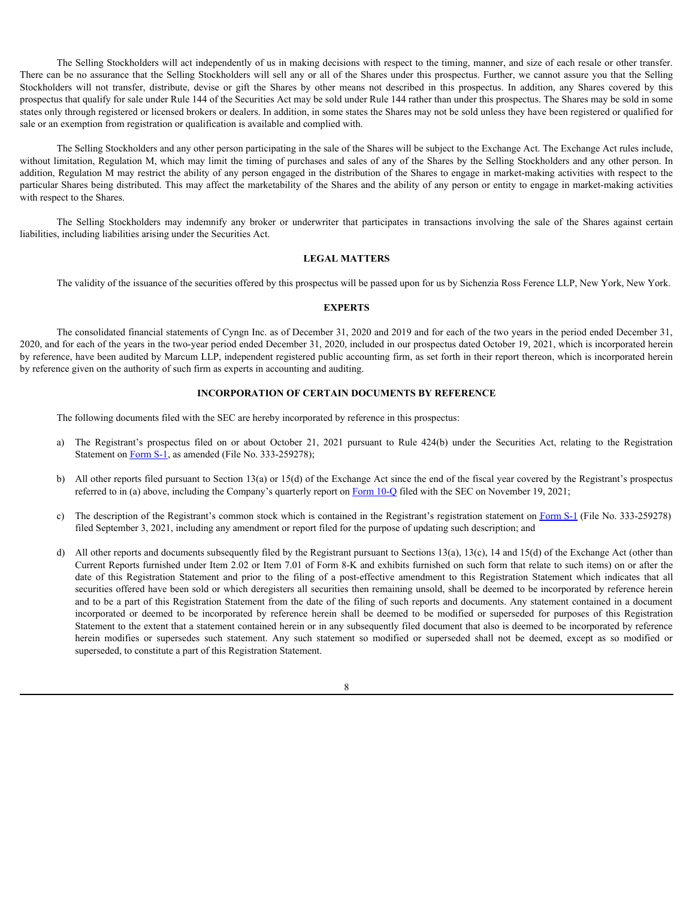The Selling Stockholders will act independently of us in making decisions with respect to the timing, manner, and size of each resale or other transfer. There can be no assurance that the Selling Stockholders will sell any or all of the Shares under this prospectus. Further, we cannot assure you that the Selling The Selling Stockholders will act independently of us in making decisions with respect to the timing, manner, and size of each resale or other transfer.<br>There can be on assume that the Selling Stockholders will sell any or prospectus that qualify for sale under Rule 144 of the Securities Act may be sold under Rule 144 rather than under this prospectus. The Shares may be sold in some states only through registered or licensed brokers or dealers. In addition, in some states the Shares may not be sold unless they have been registered or qualified for sale or an exemption from registration or qualification is available and complied with. The Selling Stockholders will act independently of us in making decisions with respect to the timing, manner, and size of each result or other transfer, becausing the brokers will not for the Shares under the involvident w Isbe a naisomete that the Soliting Sootholders will all any or all of the Shores units are properties. In endominate you can be a strained as the constraints of the file of the Shores of the dentity for all all the prope

The Selling Stockholders and any other person participating in the sale of the Shares will be subject to the Exchange Act. The Exchange Act rules include, without limitation, Regulation M, which may limit the timing of purchases and sales of any of the Shares by the Selling Stockholders and any other person. In addition, Regulation M may restrict the ability of any person engaged in the distribution of the Shares to engage in market-making activities with respect to the particular Shares being distributed. This may affect the marketability of the Shares and the ability of any person or entity to engage in market-making activities with respect to the Shares.

liabilities, including liabilities arising under the Securities Act.

#### <span id="page-14-0"></span>**LEGAL MATTERS**

The validity of the issuance of the securities offered by this prospectus will be passed upon for us by Sichenzia Ross Ference LLP, New York, New York.

#### <span id="page-14-1"></span>**EXPERTS**

The consolidated financial statements of Cyngn Inc. as of December 31, 2020 and 2019 and for each of the two years in the period ended December 31, 2020, and for each of the years in the two-year period ended December 31, 2020, included in our prospectus dated October 19, 2021, which is incorporated herein by reference, have been audited by Marcum LLP, independent registered public accounting firm, as set forth in their report thereon, which is incorporated herein by reference given on the authority of such firm as experts in accounting and auditing.

# <span id="page-14-2"></span>**INCORPORATION OF CERTAIN DOCUMENTS BY REFERENCE**

The following documents filed with the SEC are hereby incorporated by reference in this prospectus:

- Statement on Form S-1, as amended (File No. 333-259278);
- b) All other reports filed pursuant to Section 13(a) or 15(d) of the Exchange Act since the end of the fiscal year covered by the Registrant's prospectus referred to in (a) above, including the Company's quarterly report on Form 10-Q filed with the SEC on November 19, 2021;
- c) The description of the Registrant's common stock which is contained in the Registrant's registration statement on Form S-1 (File No. 333-259278) filed September 3, 2021, including any amendment or report filed for the purpose of updating such description; and
- d) All other reports and documents subsequently filed by the Registrant pursuant to Sections 13(a), 13(c), 14 and 15(d) of the Exchange Act (other than Current Reports furnished under Item 2.02 or Item 7.01 of Form 8-K and exhibits furnished on such form that relate to such items) on or after the Selling Stockholders may indementy any trode or underwrite that participates in formations involving the sale of the Shares against entail<br>using labilities arising under the securities edifiered by the procedure swill be securities offered have been sold or which deregisters all securities then remaining unsold, shall be deemed to be incorporated by reference herein and to be a part of this Registration Statement from the date of the filing of such reports and documents. Any statement contained in a document **LEGAL MATTERS**<br> **EXPERTS**<br> **EXPERTS**<br> **EXPERTS**<br> **EXPERTS**<br> **EXPERTS**<br> **EXPERTS**<br> **EXPERTS**<br> **EXPERTS**<br> **EXPERTS**<br> **EXPERTS**<br> **EXPERTS**<br> **EXPERTS**<br> **EXPERTS**<br> **EXPERTS**<br> **EXPERTS**<br> **EXPERTS**<br> **EXPERTS**<br> **EXPERTS**<br> **EXPER** Statement to the extent that a statement contained herein or in any subsequently filed document that also is deemed to be incorporated by reference which of the issume of the securities offered by this prospectius will be passed upon for outby Sichernia Ros Ferrest 1.2, New York,<br>
1970 and 2010 and for stated be the proposeder of the Sichember 21, 2020 and 2010 and f superseded, to constitute a part of this Registration Statement.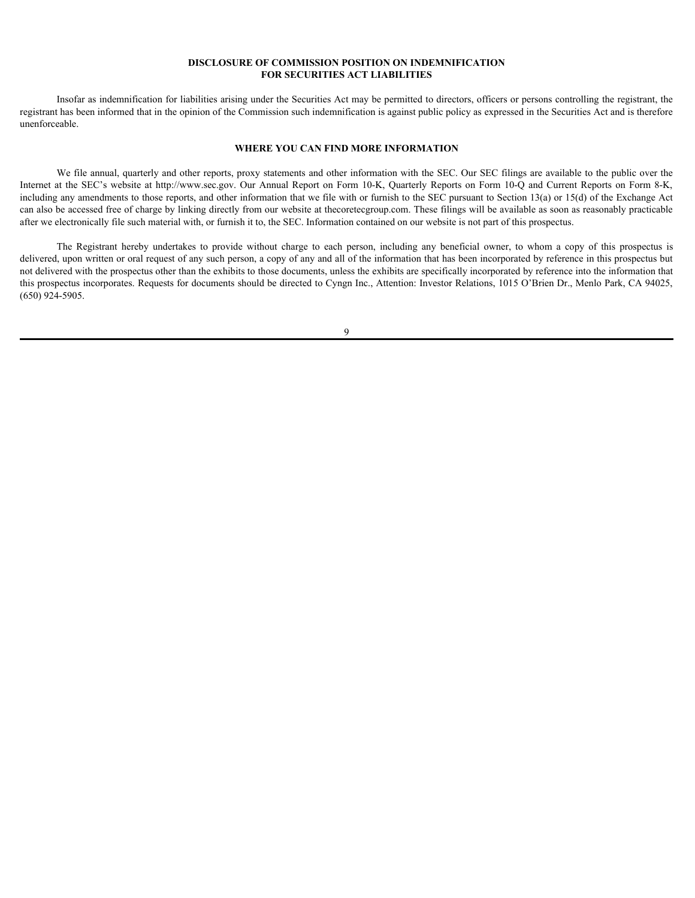### <span id="page-15-0"></span>**DISCLOSURE OF COMMISSION POSITION ON INDEMNIFICATION FOR SECURITIES ACT LIABILITIES**

Insofar as indemnification for liabilities arising under the Securities Act may be permitted to directors, officers or persons controlling the registrant, the registrant has been informed that in the opinion of the Commission such indemnification is against public policy as expressed in the Securities Act and is therefore unenforceable.

#### <span id="page-15-1"></span>**WHERE YOU CAN FIND MORE INFORMATION**

We file annual, quarterly and other reports, proxy statements and other information with the SEC. Our SEC filings are available to the public over the **INSCLOSURE OF COMMISSION POSITION ON INDEMINIFICATION**<br> **IFOR SECURITIES ACT LIABILITIES**<br>
Internet at the Security of the Commission such indemnification is against public policy as expressed in the Securities Act and is including any amendments to those reports, and other information that we file with or furnish to the SEC pursuant to Section 13(a) or 15(d) of the Exchange Act can also be accessed free of charge by linking directly from our website at thecoretecgroup.com. These filings will be available as soon as reasonably practicable after we electronically file such material with, or furnish it to, the SEC. Information contained on our website is not part of this prospectus. **IDENTIFY ART COMMISSION POSITION ON INDENIMIE CATION**<br>
IRSORET AS THE EXECUTATION AND THE SECTION TO A SECTION THE SECTION TO A SECTION THEORY AND THE SECTION OF THE REGISTER AND THEORY AND THE SPECIFIES ARE CHECK AND THE

delivered, upon written or oral request of any such person, a copy of any and all of the information that has been incorporated by reference in this prospectus but not delivered with the prospectus other than the exhibits to those documents, unless the exhibits are specifically incorporated by reference into the information that this prospectus incorporates. Requests for documents should be directed to Cyngn Inc., Attention: Investor Relations, 1015 O'Brien Dr., Menlo park, CA 94025, (650) 924-5905.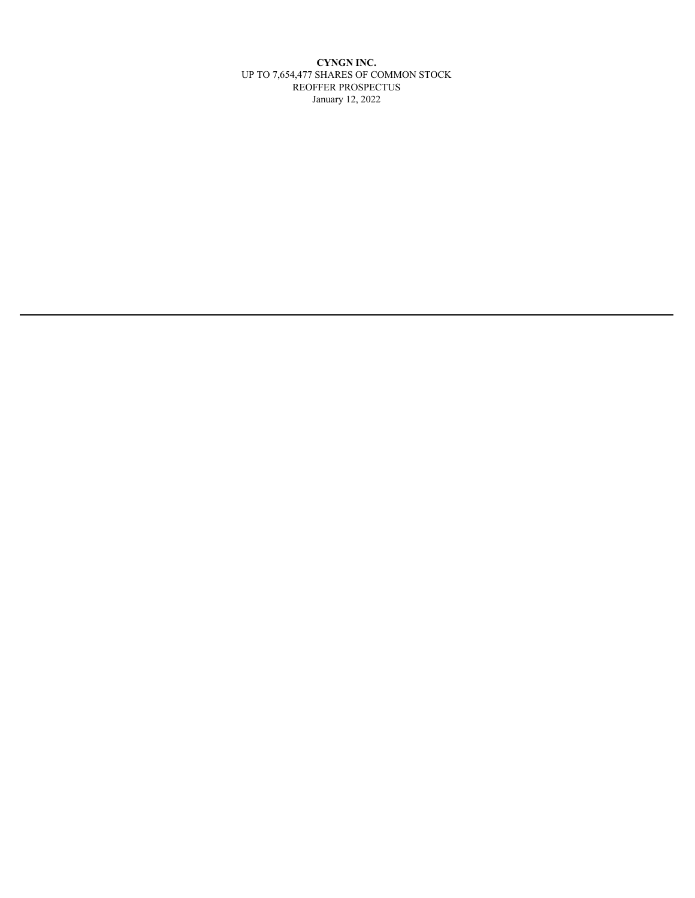**CYNGN INC.** Up TO 7,654,477 SHARES OF COMMON STOCK REOFFER pROSpECTUS January 12, 2022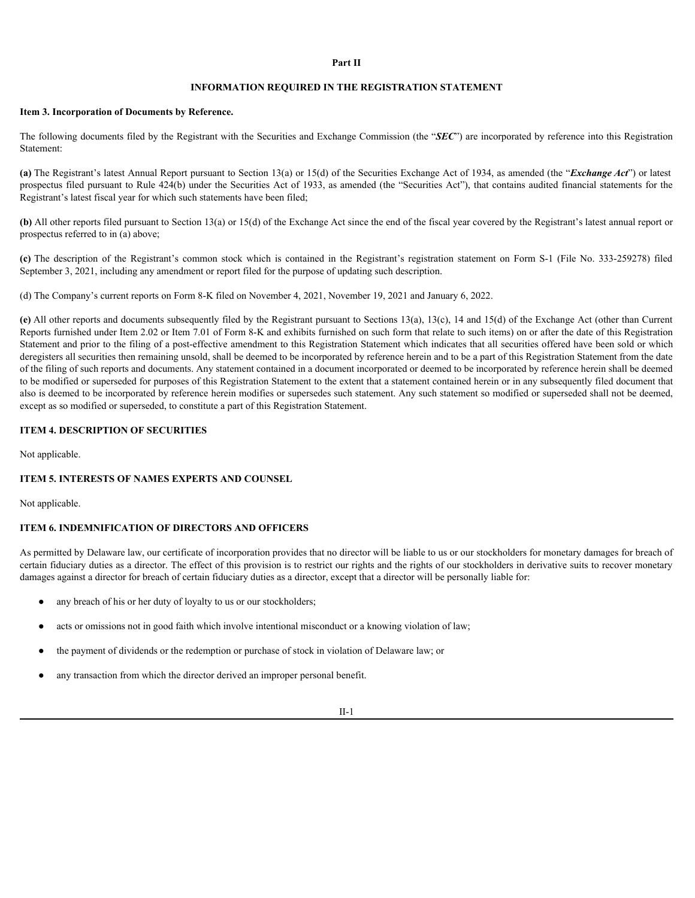# **Part II**

# **INFORMATION REQUIRED IN THE REGISTRATION STATEMENT**

### **Item 3. Incorporation of Documents by Reference.**

The following documents filed by the Registrant with the Securities and Exchange Commission (the "*SEC*") are incorporated by reference into this Registration Statement:

**(a)** The Registrant's latest Annual Report pursuant to Section 13(a) or 15(d) of the Securities Exchange Act of 1934, as amended (the "*Exchange Act*") or latest prospectus filed pursuant to Rule 424(b) under the Securities Act of 1933, as amended (the "Securities Act"), that contains audited financial statements for the Registrant's latest fiscal year for which such statements have been filed;

**(b)** All other reports filed pursuant to Section 13(a) or 15(d) of the Exchange Act since the end of the fiscal year covered by the Registrant's latest annual report or prospectus referred to in (a) above;

September 3, 2021, including any amendment or report filed for the purpose of updating such description.

(d) The Company's current reports on Form 8-K filed on November 4, 2021, November 19, 2021 and January 6, 2022.

**Exercise of The Conservation of Documents by Reference,**<br>**(File additionary documents investigated) Common SEQUIRED** IN THE REGISTRATION STATEMENT<br>
Entillowing documents filed by the Registrant with the Securities and E **(e)** All other reports and documents subsequently filed by the Registrant pursuant to Sections 13(a), 13(c), 14 and 15(d) of the Exchange Act (other than Current Reports furnished under Item 2.02 or Item 7.01 of Form 8-K and exhibits furnished on such form that relate to such items) on or after the date of this Registration Statement and prior to the filing of a post-effective amendment to this Registration Statement which indicates that all securities offered have been sold or which deregisters all securities then remaining unsold, shall be deemed to be incorporated by reference herein and to be a part of this Registration Statement from the date of the filing of such reports and documents. Any statement contained in a document incorporated or deemed to be incorporated by reference herein shall be deemed to be modified or superseded for purposes of this Registration Statement to the extent that a statement contained herein or in any subsequently filed document that also is deemed to be incorporated by reference herein modifies or supersedes such statement. Any such statement so modified or superseded shall not be deemed, except as so modified or superseded, to constitute a part of this Registration Statement.

# **ITEM 4. DESCRIPTION OF SECURITIES**

Not applicable.

#### **ITEM 5. INTERESTS OF NAMES EXPERTS AND COUNSEL**

Not applicable.

# **ITEM 6. INDEMNIFICATION OF DIRECTORS AND OFFICERS**

As permitted by Delaware law, our certificate of incorporation provides that no director will be liable to us or our stockholders for monetary damages for breach of certain fiduciary duties as a director. The effect of this provision is to restrict our rights and the rights of our stockholders in derivative suits to recover monetary damages against a director for breach of certain fiduciary duties as a director, except that a director will be personally liable for:

- any breach of his or her duty of loyalty to us or our stockholders;
- acts or omissions not in good faith which involve intentional misconduct or a knowing violation of law;
- the payment of dividends or the redemption or purchase of stock in violation of Delaware law; or
- any transaction from which the director derived an improper personal benefit.

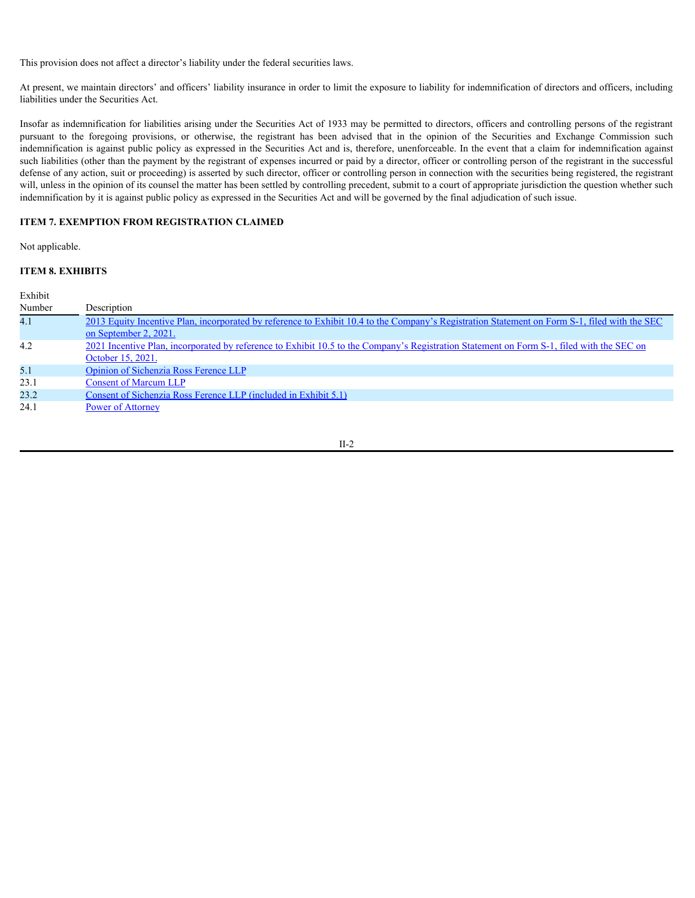This provision does not affect a director's liability under the federal securities laws.

At present, we maintain directors' and officers' liability insurance in order to limit the exposure to liability for indemnification of directors and officers, including liabilities under the Securities Act.

Insofar as indemnification for liabilities arising under the Securities Act of 1933 may be permitted to directors, officers and controlling persons of the registrant This provision does not affect a director's liability under the federal securities laws.<br>At present, we maintain directors' and officers' liability insurance in order to limit the exposure to liability for indemnification indemnification is against public policy as expressed in the Securities Act and is, therefore, unenforceable. In the event that a claim for indemnification against such liabilities (other than the payment by the registrant of expenses incurred or paid by a director, officer or controlling person of the registrant in the successful defense of any action, suit or proceeding) is asserted by such director, officer or controlling person in connection with the securities being registered, the registrant will, unless in the opinion of its counsel the matter has been settled by controlling precedent, submit to a court of appropriate jurisdiction the question whether such indemnification by it is against public policy as expressed in the Securities Act and will be governed by the final adjudication of such issue.

# **ITEM 7. EXEMPTION FROM REGISTRATION CLAIMED**

Not applicable.

# **ITEM 8. EXHIBITS**

| Exhibit |                                                                                                                                                                        |
|---------|------------------------------------------------------------------------------------------------------------------------------------------------------------------------|
| Number  | Description                                                                                                                                                            |
| 4.1     | 2013 Equity Incentive Plan, incorporated by reference to Exhibit 10.4 to the Company's Registration Statement on Form S-1, filed with the SEC<br>on September 2, 2021. |
| 4.2     | 2021 Incentive Plan, incorporated by reference to Exhibit 10.5 to the Company's Registration Statement on Form S-1, filed with the SEC on<br>October 15, 2021.         |
| 5.1     | Opinion of Sichenzia Ross Ference LLP                                                                                                                                  |
| 23.1    | <b>Consent of Marcum LLP</b>                                                                                                                                           |
| 23.2    | Consent of Sichenzia Ross Ference LLP (included in Exhibit 5.1)                                                                                                        |
| 24.1    | <b>Power of Attorney</b>                                                                                                                                               |
|         |                                                                                                                                                                        |

II-2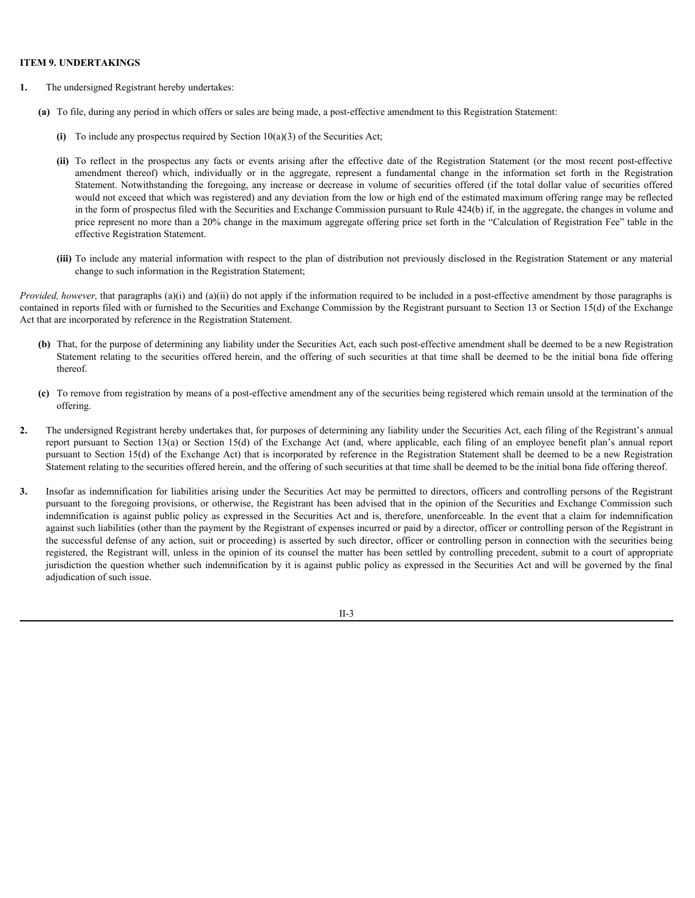# **ITEM 9. UNDERTAKINGS**

- **1.** The undersigned Registrant hereby undertakes:
	- **(a)** To file, during any period in which offers or sales are being made, a post-effective amendment to this Registration Statement:
		- **(i)** To include any prospectus required by Section 10(a)(3) of the Securities Act;
- **(i)** To include any prospectus reflective states) and the network of the securities Act;<br> **(i)** To reflect in the prospectus required by Section 10(a)(3) of the Securities Act;<br> **(ii)** To reflect in the prospectus require **DERTAKINGS**<br>alersigned Registrant hereby undertakes:<br>i.e., during any period in which offers or sales are being made, a post-effective amendment to this Registration Statement:<br>To include any prospectus required by Sectio **DERTAKINGS**<br>dersigned Registrant hereby undertakes:<br>i.e., during any period in which offers or sales are being made, a post-effective amendment to this Registration Statement:<br>To reflect in the prospectus required by Sect would not exceed that which was registered) and any deviation from the low or high end of the estimated maximum offering range may be reflected in the form of prospectus filed with the Securities and Exchange Commission pursuant to Rule 424(b) if, in the aggregate, the changes in volume and price represent no more than a 20% change in the maximum aggregate offering price set forth in the "Calculation of Registration Fee" table in the effective Registration Statement. The undersigned Registrant heceby undershee.<br>
(i) To file during any peopecties required by Section 10(a)(3) of the Securities Act,<br>
(ii) To include the proportion any facts or coera atting after due of the Registration S
	- **(iii)** To include any material information with respect to the plan of distribution not previously disclosed in the Registration Statement or any material change to such information in the Registration Statement;

*Provided, however,* that paragraphs (a)(i) and (a)(ii) do not apply if the information required to be included in a post-effective amendment by those paragraphs is contained in reports filed with or furnished to the Securities and Exchange Commission by the Registrant pursuant to Section 13 or Section 15(d) of the Exchange Act that are incorporated by reference in the Registration Statement.

- **(b)** That, for the purpose of determining any liability under the Securities Act, each such post-effective amendment shall be deemed to be a new Registration Statement relating to the securities offered herein, and the offering of such securities at that time shall be deemed to be the initial bona fide offering thereof.
- **(c)** To remove from registration by means of a post-effective amendment any of the securities being registered which remain unsold at the termination of the offering.
- **2.** The undersigned Registrant hereby undertakes that, for purposes of determining any liability under the Securities Act, each filing of the Registrant's annual pursuant to Section 15(d) of the Exchange Act) that is incorporated by reference in the Registration Statement shall be deemed to be a new Registration Statement relating to the securities offered herein, and the offering of such securities at that time shall be deemed to be the initial bona fide offering thereof.
- **3.** Insofar as indemnification for liabilities arising under the Securities Act may be permitted to directors, officers and controlling persons of the Registrant pursuant to the foregoing provisions, or otherwise, the Registrant has been advised that in the opinion of the Securities and Exchange Commission such indemnification is against public policy as expressed in the Securities Act and is, therefore, unenforceable. In the event that a claim for indemnification against such liabilities (other than the payment by the Registrant of expenses incurred or paid by a director, officer or controlling person of the Registrant in the successful defense of any action, suit or proceeding) is asserted by such director, officer or controlling person in connection with the securities being registered, the Registrant will, unless in the opinion of its counsel the matter has been settled by controlling precedent, submit to a court of appropriate jurisdiction the question whether such indemnification by it is against public policy as expressed in the Securities Act and will be governed by the final adjudication of such issue.

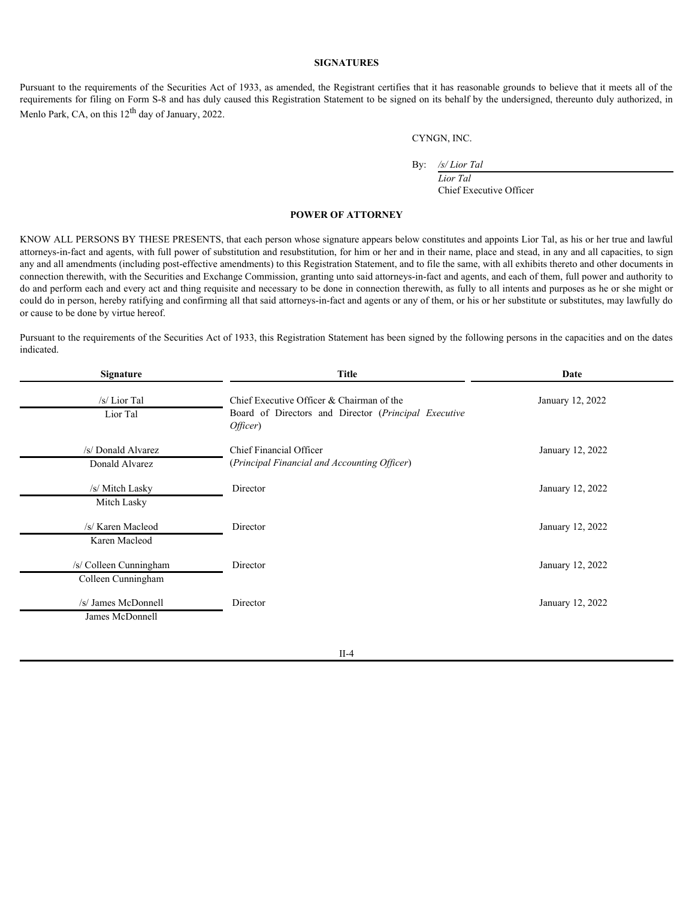# **SIGNATURES**

#### <span id="page-20-0"></span>**POWER OF ATTORNEY**

|                                                                | <b>SIGNATURES</b>                                                                                             |                                                                                                                                                                                                                                                                                                                                                                                                                                                                                                                                                                                                                                                                                                                                                                                                                                                                                                                                                                                                                                                                                                                                                                                                    |
|----------------------------------------------------------------|---------------------------------------------------------------------------------------------------------------|----------------------------------------------------------------------------------------------------------------------------------------------------------------------------------------------------------------------------------------------------------------------------------------------------------------------------------------------------------------------------------------------------------------------------------------------------------------------------------------------------------------------------------------------------------------------------------------------------------------------------------------------------------------------------------------------------------------------------------------------------------------------------------------------------------------------------------------------------------------------------------------------------------------------------------------------------------------------------------------------------------------------------------------------------------------------------------------------------------------------------------------------------------------------------------------------------|
| Menlo Park, CA, on this 12 <sup>th</sup> day of January, 2022. |                                                                                                               | Pursuant to the requirements of the Securities Act of 1933, as amended, the Registrant certifies that it has reasonable grounds to believe that it meets all of the<br>requirements for filing on Form S-8 and has duly caused this Registration Statement to be signed on its behalf by the undersigned, thereunto duly authorized, in                                                                                                                                                                                                                                                                                                                                                                                                                                                                                                                                                                                                                                                                                                                                                                                                                                                            |
|                                                                |                                                                                                               | CYNGN, INC.                                                                                                                                                                                                                                                                                                                                                                                                                                                                                                                                                                                                                                                                                                                                                                                                                                                                                                                                                                                                                                                                                                                                                                                        |
|                                                                | By:                                                                                                           | /s/Lior Tal<br>Lior Tal<br>Chief Executive Officer                                                                                                                                                                                                                                                                                                                                                                                                                                                                                                                                                                                                                                                                                                                                                                                                                                                                                                                                                                                                                                                                                                                                                 |
|                                                                | <b>POWER OF ATTORNEY</b>                                                                                      |                                                                                                                                                                                                                                                                                                                                                                                                                                                                                                                                                                                                                                                                                                                                                                                                                                                                                                                                                                                                                                                                                                                                                                                                    |
| or cause to be done by virtue hereof.<br>indicated.            |                                                                                                               | KNOW ALL PERSONS BY THESE PRESENTS, that each person whose signature appears below constitutes and appoints Lior Tal, as his or her true and lawful<br>attorneys-in-fact and agents, with full power of substitution and resubstitution, for him or her and in their name, place and stead, in any and all capacities, to sign<br>any and all amendments (including post-effective amendments) to this Registration Statement, and to file the same, with all exhibits thereto and other documents in<br>connection therewith, with the Securities and Exchange Commission, granting unto said attorneys-in-fact and agents, and each of them, full power and authority to<br>do and perform each and every act and thing requisite and necessary to be done in connection therewith, as fully to all intents and purposes as he or she might or<br>could do in person, hereby ratifying and confirming all that said attorneys-in-fact and agents or any of them, or his or her substitute or substitutes, may lawfully do<br>Pursuant to the requirements of the Securities Act of 1933, this Registration Statement has been signed by the following persons in the capacities and on the dates |
| <b>Signature</b>                                               | <b>Title</b>                                                                                                  | Date                                                                                                                                                                                                                                                                                                                                                                                                                                                                                                                                                                                                                                                                                                                                                                                                                                                                                                                                                                                                                                                                                                                                                                                               |
| /s/ Lior Tal<br>Lior Tal                                       | Chief Executive Officer & Chairman of the<br>Board of Directors and Director (Principal Executive<br>Officer) | January 12, 2022                                                                                                                                                                                                                                                                                                                                                                                                                                                                                                                                                                                                                                                                                                                                                                                                                                                                                                                                                                                                                                                                                                                                                                                   |
| /s/ Donald Alvarez<br>Donald Alvarez                           | Chief Financial Officer<br>(Principal Financial and Accounting Officer)                                       | January 12, 2022                                                                                                                                                                                                                                                                                                                                                                                                                                                                                                                                                                                                                                                                                                                                                                                                                                                                                                                                                                                                                                                                                                                                                                                   |
| /s/ Mitch Lasky<br>Mitch Lasky                                 | Director                                                                                                      | January 12, 2022                                                                                                                                                                                                                                                                                                                                                                                                                                                                                                                                                                                                                                                                                                                                                                                                                                                                                                                                                                                                                                                                                                                                                                                   |
| /s/ Karen Macleod<br>Karen Macleod                             | Director                                                                                                      | January 12, 2022                                                                                                                                                                                                                                                                                                                                                                                                                                                                                                                                                                                                                                                                                                                                                                                                                                                                                                                                                                                                                                                                                                                                                                                   |
| /s/ Colleen Cunningham<br>Colleen Cunningham                   | Director                                                                                                      | January 12, 2022                                                                                                                                                                                                                                                                                                                                                                                                                                                                                                                                                                                                                                                                                                                                                                                                                                                                                                                                                                                                                                                                                                                                                                                   |
| /s/ James McDonnell<br>James McDonnell                         | Director                                                                                                      | January 12, 2022                                                                                                                                                                                                                                                                                                                                                                                                                                                                                                                                                                                                                                                                                                                                                                                                                                                                                                                                                                                                                                                                                                                                                                                   |

II-4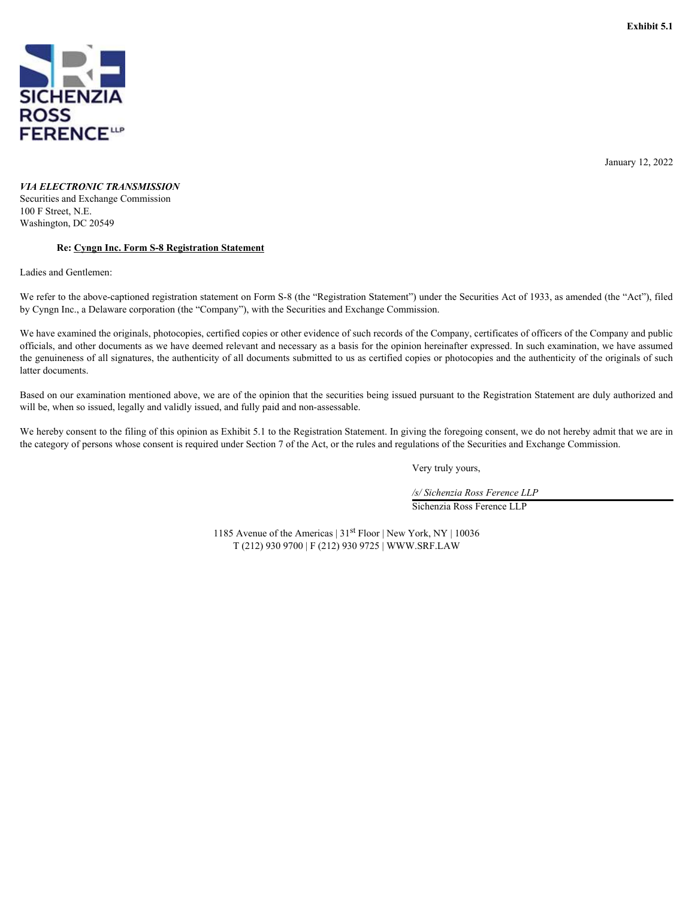<span id="page-21-0"></span>

January 12, 2022

# *VIA ELECTRONIC TRANSMISSION*

Securities and Exchange Commission 100 F Street, N.E. Washington, DC 20549

# **Re: Cyngn Inc. Form S-8 Registration Statement**

Ladies and Gentlemen:

We refer to the above-captioned registration statement on Form S-8 (the "Registration Statement") under the Securities Act of 1933, as amended (the "Act"), filed by Cyngn Inc., a Delaware corporation (the "Company"), with the Securities and Exchange Commission.

We have examined the originals, photocopies, certified copies or other evidence of such records of the Company, certificates of officers of the Company and public officials, and other documents as we have deemed relevant and necessary as a basis for the opinion hereinafter expressed. In such examination, we have assumed the genuineness of all signatures, the authenticity of all documents submitted to us as certified copies or photocopies and the authenticity of the originals of such latter documents.

Based on our examination mentioned above, we are of the opinion that the securities being issued pursuant to the Registration Statement are duly authorized and will be, when so issued, legally and validly issued, and fully paid and non-assessable.

We hereby consent to the filing of this opinion as Exhibit 5.1 to the Registration Statement. In giving the foregoing consent, we do not hereby admit that we are in the category of persons whose consent is required under Section 7 of the Act, or the rules and regulations of the Securities and Exchange Commission.

Very truly yours,

*/s/ Sichenzia Ross Ference LLP* Sichenzia Ross Ference LLP

1185 Avenue of the Americas | 31st Floor | New York, NY | 10036 T (212) 930 9700 | F (212) 930 9725 | WWW.SRF.lAW